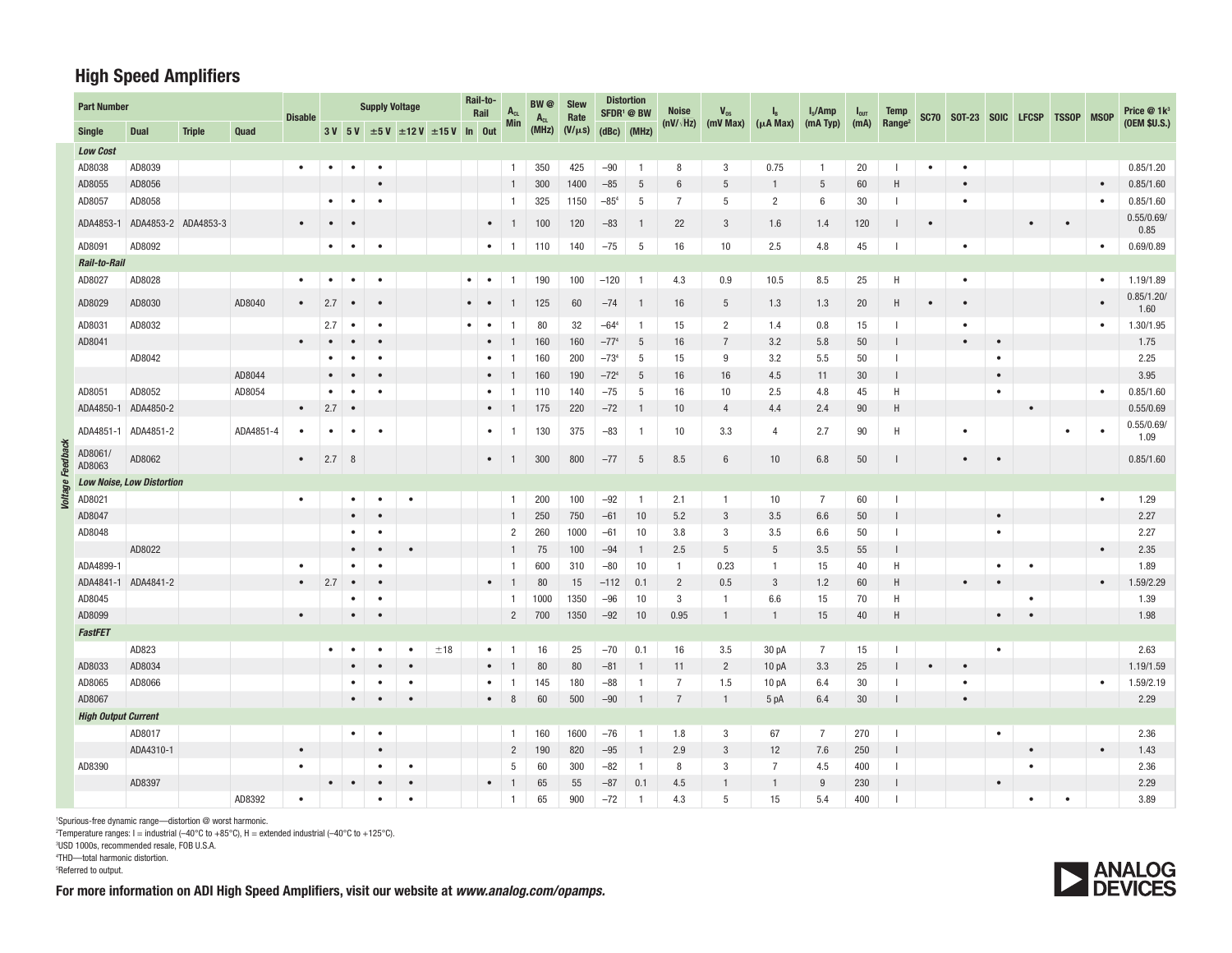## **High Speed Amplifiers**

| <b>Part Number</b> |                            |                                  |               |           | <b>Disable</b> | <b>Supply Voltage</b> |           |           |           |                                        |           | Rail-to-<br>Rail | $A_{CL}$       | BW @<br>$A_{CL}$ | <b>Slew</b><br>Rate | <b>Distortion</b><br>SFDR <sup>1</sup> @ BW |                | <b>Noise</b>     | $V_{\text{os}}$ | $\mathbf{I}_{\text{B}}$ | $I_s$ /Amp     | $I_{\text{OUT}}$ | <b>Temp</b>              |           | SC70 SOT-23 SOIC LFCSP TSSOP MSOP |           |           |           |           | Price @ 1k <sup>3</sup> |
|--------------------|----------------------------|----------------------------------|---------------|-----------|----------------|-----------------------|-----------|-----------|-----------|----------------------------------------|-----------|------------------|----------------|------------------|---------------------|---------------------------------------------|----------------|------------------|-----------------|-------------------------|----------------|------------------|--------------------------|-----------|-----------------------------------|-----------|-----------|-----------|-----------|-------------------------|
|                    | <b>Single</b>              | Dual                             | <b>Triple</b> | Quad      |                |                       | $3V$ 5V   |           |           | $\pm 5$ V $\pm 12$ V $\pm 15$ V In Out |           |                  | <b>Min</b>     | (MHz)            | $(V/\mu s)$         |                                             | $(dBc)$ (MHz)  | $(nV/\sqrt{Hz})$ | $(mV$ Max $)$   | $(\mu A$ Max)           | (mA Typ)       | (mA)             | Range <sup>2</sup>       |           |                                   |           |           |           |           | (OEM \$U.S.)            |
|                    | <b>Low Cost</b>            |                                  |               |           |                |                       |           |           |           |                                        |           |                  |                |                  |                     |                                             |                |                  |                 |                         |                |                  |                          |           |                                   |           |           |           |           |                         |
|                    | AD8038                     | AD8039                           |               |           | $\bullet$      | $\bullet$             | $\bullet$ | $\bullet$ |           |                                        |           |                  | $\overline{1}$ | 350              | 425                 | $-90$                                       | -1             | 8                | 3               | 0.75                    | 1              | 20               | J.                       | $\bullet$ | $\bullet$                         |           |           |           |           | 0.85/1.20               |
|                    | AD8055                     | AD8056                           |               |           |                |                       |           |           |           |                                        |           |                  | $\mathbf{1}$   | 300              | 1400                | $-85$                                       | -5             | $6\phantom{1}6$  | 5               | 1                       | 5              | 60               | H                        |           | $\bullet$                         |           |           |           | $\bullet$ | 0.85/1.60               |
|                    | AD8057                     | AD8058                           |               |           |                | $\bullet$             | $\bullet$ | $\bullet$ |           |                                        |           |                  | $\mathbf{1}$   | 325              | 1150                | $-854$                                      | -5             | -7               | 5               | $\overline{2}$          | 6              | 30               | -1                       |           | $\bullet$                         |           |           |           | $\bullet$ | 0.85/1.60               |
|                    | ADA4853-1                  | ADA4853-2 ADA4853-3              |               |           |                |                       |           |           |           |                                        |           | $\bullet$        | -1             | 100              | 120                 | $-83$                                       | -1             | 22               | 3               | 1.6                     | 1.4            | 120              |                          |           |                                   |           |           | $\bullet$ |           | 0.55/0.69/<br>0.85      |
|                    | AD8091                     | AD8092                           |               |           |                | $\bullet$             | $\bullet$ | $\bullet$ |           |                                        |           | $\bullet$ 1      |                | 110              | 140                 | $-75$                                       | 5              | 16               | 10              | 2.5                     | 4.8            | 45               |                          |           | $\bullet$                         |           |           |           | $\bullet$ | 0.69/0.89               |
|                    | Rail-to-Rail               |                                  |               |           |                |                       |           |           |           |                                        |           |                  |                |                  |                     |                                             |                |                  |                 |                         |                |                  |                          |           |                                   |           |           |           |           |                         |
|                    | AD8027                     | AD8028                           |               |           |                |                       | $\bullet$ | $\bullet$ |           |                                        | $\bullet$ | $\bullet$        | -1             | 190              | 100                 | $-120$                                      | -1             | 4.3              | 0.9             | 10.5                    | 8.5            | 25               | H                        |           | $\bullet$                         |           |           |           |           | 1.19/1.89               |
|                    | AD8029                     | AD8030                           |               | AD8040    | $\bullet$      | 2.7                   | $\bullet$ | $\bullet$ |           |                                        |           |                  | -1             | 125              | 60                  | $-74$                                       | -1             | 16               | 5               | 1.3                     | 1.3            | 20               | Н                        |           |                                   |           |           |           |           | 0.85/1.20/<br>1.60      |
|                    | AD8031                     | AD8032                           |               |           |                | 2.7                   | $\bullet$ | $\bullet$ |           |                                        | $\bullet$ | $\bullet$        | -1             | 80               | 32                  | $-644$                                      | $\overline{1}$ | 15               | $\overline{2}$  | 1.4                     | 0.8            | 15               |                          |           | $\bullet$                         |           |           |           | $\bullet$ | 1.30/1.95               |
|                    | AD8041                     |                                  |               |           |                |                       |           | $\bullet$ |           |                                        |           |                  |                | 160              | 160                 | $-774$                                      | -5             | 16               | $\overline{7}$  | 3.2                     | 5.8            | 50               |                          |           |                                   |           |           |           |           | 1.75                    |
|                    |                            | AD8042                           |               |           |                |                       | $\bullet$ | $\bullet$ |           |                                        |           | $\bullet$        | -1             | 160              | 200                 | $-734$                                      | 5              | 15               | 9               | 3.2                     | 5.5            | 50               |                          |           |                                   | $\bullet$ |           |           |           | 2.25                    |
|                    |                            |                                  |               | AD8044    |                |                       |           |           |           |                                        |           |                  |                | 160              | 190                 | $-724$                                      | -5             | 16               | 16              | 4.5                     | 11             | 30               |                          |           |                                   | $\bullet$ |           |           |           | 3.95                    |
|                    | AD8051                     | AD8052                           |               | AD8054    |                | $\bullet$             | ٠         | $\bullet$ |           |                                        |           | $\bullet$        | -1             | 110              | 140                 | $-75$                                       | 5              | 16               | 10              | 2.5                     | 4.8            | 45               | H                        |           |                                   | $\bullet$ |           |           | $\bullet$ | 0.85/1.60               |
|                    | ADA4850-1                  | ADA4850-2                        |               |           | $\bullet$      | 2.7                   | $\bullet$ |           |           |                                        |           |                  |                | 175              | 220                 | $-72$                                       | -1             | 10               | $\overline{4}$  | 4.4                     | 2.4            | 90               | H                        |           |                                   |           | $\bullet$ |           |           | 0.55/0.69               |
|                    | ADA4851-1                  | ADA4851-2                        |               | ADA4851-4 | ٠              | ٠                     | $\bullet$ | $\bullet$ |           |                                        |           | $\bullet$        |                | 130              | 375                 | $-83$                                       | -1             | 10               | 3.3             | 4                       | 2.7            | 90               | Η                        |           | $\bullet$                         |           |           | $\bullet$ |           | 0.55/0.69/<br>1.09      |
| edback             | AD8061/<br>AD8063          | AD8062                           |               |           | $\bullet$      | 2.7%                  |           |           |           |                                        |           | $\bullet$        | -1             | 300              | 800                 | $-77$                                       | 5              | 8.5              | $6\phantom{1}6$ | 10 <sup>°</sup>         | 6.8            | 50               |                          |           | $\bullet$                         | $\bullet$ |           |           |           | 0.85/1.60               |
|                    |                            | <b>Low Noise, Low Distortion</b> |               |           |                |                       |           |           |           |                                        |           |                  |                |                  |                     |                                             |                |                  |                 |                         |                |                  |                          |           |                                   |           |           |           |           |                         |
| Voltage            | AD8021                     |                                  |               |           | $\bullet$      |                       | ٠         | $\bullet$ | $\bullet$ |                                        |           |                  | $\overline{1}$ | 200              | 100                 | $-92$                                       | -1             | 2.1              | $\mathbf{1}$    | 10                      | $\overline{7}$ | 60               |                          |           |                                   |           |           |           | $\bullet$ | 1.29                    |
|                    | AD8047                     |                                  |               |           |                |                       |           | $\bullet$ |           |                                        |           |                  | 1              | 250              | 750                 | $-61$                                       | 10             | 5.2              | 3               | 3.5                     | 6.6            | 50               |                          |           |                                   | $\bullet$ |           |           |           | 2.27                    |
|                    | AD8048                     |                                  |               |           |                |                       |           |           |           |                                        |           |                  | 2              | 260              | 1000                | $-61$                                       | 10             | 3.8              | 3               | 3.5                     | 6.6            | 50               | J.                       |           |                                   | $\bullet$ |           |           |           | 2.27                    |
|                    |                            | AD8022                           |               |           |                |                       |           |           | $\bullet$ |                                        |           |                  |                | 75               | 100                 | $-94$                                       |                | 2.5              | 5               | 5                       | 3.5            | 55               |                          |           |                                   |           |           |           | $\bullet$ | 2.35                    |
|                    | ADA4899-1                  |                                  |               |           |                |                       |           | $\bullet$ |           |                                        |           |                  | $\mathbf{1}$   | 600              | 310                 | $-80$                                       | 10             | $\overline{1}$   | 0.23            | $\mathbf{1}$            | 15             | 40               | Н                        |           |                                   | $\bullet$ | ٠         |           |           | 1.89                    |
|                    | ADA4841-1                  | ADA4841-2                        |               |           | $\bullet$      | 2.7                   | $\bullet$ | $\bullet$ |           |                                        |           | $\bullet$        |                | 80               | 15                  | $-112$                                      | 0.1            | $\overline{2}$   | 0.5             | 3                       | 1.2            | 60               | Н                        |           | $\bullet$                         |           |           |           | $\bullet$ | 1.59/2.29               |
|                    | AD8045                     |                                  |               |           |                |                       |           | $\bullet$ |           |                                        |           |                  | $\mathbf{1}$   | 1000             | 1350                | $-96$                                       | 10             | 3                | $\mathbf{1}$    | 6.6                     | 15             | 70               | Н                        |           |                                   |           | $\bullet$ |           |           | 1.39                    |
|                    | AD8099                     |                                  |               |           | $\bullet$      |                       |           |           |           |                                        |           |                  | $\overline{2}$ | 700              | 1350                | $-92$                                       | 10             | 0.95             | $\mathbf{1}$    | $\mathbf{1}$            | 15             | 40               | H                        |           |                                   |           |           |           |           | 1.98                    |
|                    | <b>FastFET</b>             |                                  |               |           |                |                       |           |           |           |                                        |           |                  |                |                  |                     |                                             |                |                  |                 |                         |                |                  |                          |           |                                   |           |           |           |           |                         |
|                    |                            | AD823                            |               |           |                | $\bullet$             | $\bullet$ |           | $\bullet$ | ±18                                    |           | $\bullet$        | - 1            | 16               | 25                  | $-70$                                       | 0.1            | 16               | 3.5             | 30 pA                   | $\overline{7}$ | 15               |                          |           |                                   | $\bullet$ |           |           |           | 2.63                    |
|                    | AD8033                     | AD8034                           |               |           |                |                       |           |           |           |                                        |           |                  |                | 80               | 80                  | $-81$                                       | -1             | 11               | $\overline{2}$  | 10 <sub>pA</sub>        | 3.3            | 25               |                          |           |                                   |           |           |           |           | 1.19/1.59               |
|                    | AD8065                     | AD8066                           |               |           |                |                       | ٠         |           | $\bullet$ |                                        |           | $\bullet$        | -1             | 145              | 180                 | $-88$                                       | $\overline{1}$ | $\overline{7}$   | 1.5             | 10 pA                   | 6.4            | $30\,$           |                          |           | $\bullet$                         |           |           |           | $\bullet$ | 1.59/2.19               |
|                    | AD8067                     |                                  |               |           |                |                       | $\bullet$ |           | $\bullet$ |                                        |           | $\bullet$        | 8              | 60               | 500                 | $-90$                                       | -1             | 7                | -1              | 5 pA                    | 6.4            | 30               |                          |           | $\bullet$                         |           |           |           |           | 2.29                    |
|                    | <b>High Output Current</b> |                                  |               |           |                |                       |           |           |           |                                        |           |                  |                |                  |                     |                                             |                |                  |                 |                         |                |                  |                          |           |                                   |           |           |           |           |                         |
|                    |                            | AD8017                           |               |           |                |                       | $\bullet$ | $\bullet$ |           |                                        |           |                  | $\overline{1}$ | 160              | 1600                | $-76$                                       | -1             | 1.8              | 3               | 67                      | 7              | 270              |                          |           |                                   | $\bullet$ |           |           |           | 2.36                    |
|                    |                            | ADA4310-1                        |               |           | $\bullet$      |                       |           |           |           |                                        |           |                  | $\overline{2}$ | 190              | 820                 | $-95$                                       |                | 2.9              | 3               | 12                      | 7.6            | 250              |                          |           |                                   |           | $\bullet$ |           | $\bullet$ | 1.43                    |
|                    | AD8390                     |                                  |               |           |                |                       |           | $\bullet$ | $\bullet$ |                                        |           |                  | 5              | 60               | 300                 | $-82$                                       | -1             | 8                | 3               | $\overline{7}$          | 4.5            | 400              | ı                        |           |                                   |           | ٠         |           |           | 2.36                    |
|                    |                            | AD8397                           |               |           |                | $\bullet$             | $\bullet$ |           |           |                                        |           | $\bullet$        | -1             | 65               | 55                  | $-87$                                       | 0.1            | 4.5              |                 |                         | 9              | 230              |                          |           |                                   | $\bullet$ |           |           |           | 2.29                    |
|                    |                            |                                  |               | AD8392    | $\bullet$      |                       |           | $\bullet$ | $\bullet$ |                                        |           |                  | $\overline{1}$ | 65               | 900                 | $-72$                                       | $\overline{1}$ | 4.3              | 5               | 15                      | 5.4            | 400              | $\overline{\phantom{a}}$ |           |                                   |           | $\bullet$ | $\bullet$ |           | 3.89                    |

1Spurious-free dynamic range—distortion @ worst harmonic.

<sup>2</sup>Temperature ranges: I = industrial (-40°C to +85°C), H = extended industrial (-40°C to +125°C).

3USD 1000s, recommended resale, FOB U.S.A.

4THD—total harmonic distortion.

5Referred to output.

For more information on ADI High Speed Amplifiers, visit our website at *www.analog.com/opamps.*